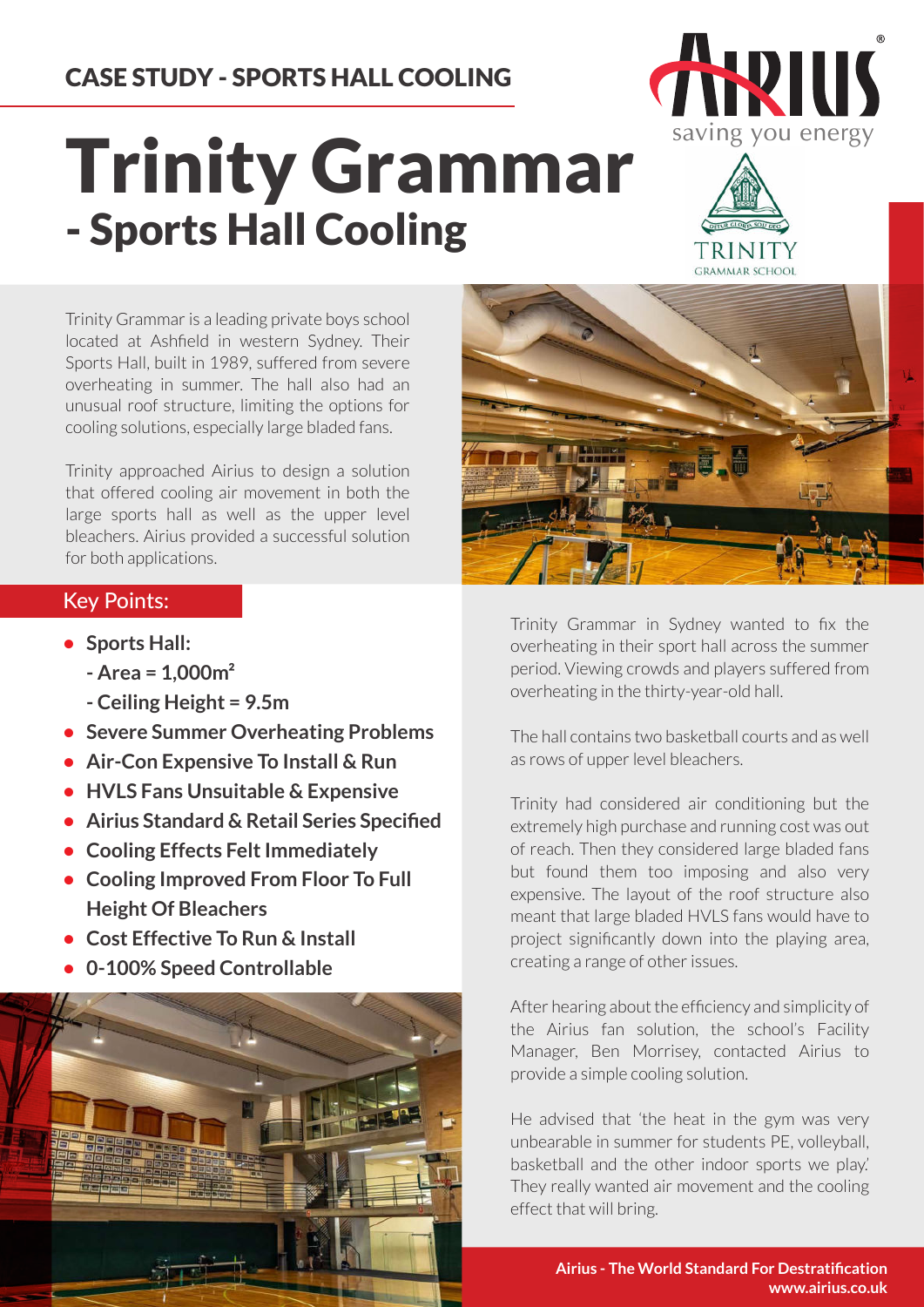## CASE STUDY - SPORTS HALL COOLING

## Trinity Grammar - Sports Hall Cooling



**CRAMMAR SCHOOL** 

Trinity Grammar is a leading private boys school located at Ashfield in western Sydney. Their Sports Hall, built in 1989, suffered from severe overheating in summer. The hall also had an unusual roof structure, limiting the options for cooling solutions, especially large bladed fans.

Trinity approached Airius to design a solution that offered cooling air movement in both the large sports hall as well as the upper level bleachers. Airius provided a successful solution for both applications.

## Key Points:

- **• Sports Hall:**
	- **Area = 1,000m²**
	- **Ceiling Height = 9.5m**
- **Severe Summer Overheating Problems**
- **Air-Con Expensive To Install & Run**
- **HVLS Fans Unsuitable & Expensive**
- **Airius Standard & Retail Series Specified**
- **Cooling Effects Felt Immediately**
- **Cooling Improved From Floor To Full Height Of Bleachers**
- **Cost Effective To Run & Install**
- **0-100% Speed Controllable**



Trinity Grammar in Sydney wanted to fix the overheating in their sport hall across the summer period. Viewing crowds and players suffered from overheating in the thirty-year-old hall.

The hall contains two basketball courts and as well as rows of upper level bleachers.

Trinity had considered air conditioning but the extremely high purchase and running cost was out of reach. Then they considered large bladed fans but found them too imposing and also very expensive. The layout of the roof structure also meant that large bladed HVLS fans would have to project significantly down into the playing area, creating a range of other issues.

After hearing about the efficiency and simplicity of the Airius fan solution, the school's Facility Manager, Ben Morrisey, contacted Airius to provide a simple cooling solution.

He advised that 'the heat in the gym was very unbearable in summer for students PE, volleyball, basketball and the other indoor sports we play.' They really wanted air movement and the cooling effect that will bring.